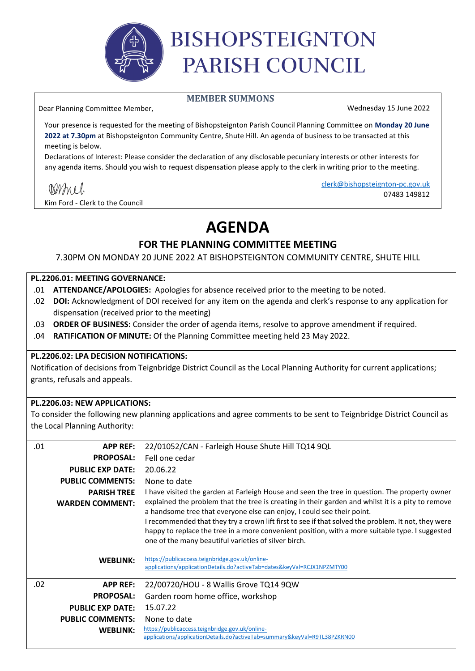

# **BISHOPSTEIGNTON** PARISH COUNCIL

#### **MEMBER SUMMONS**

Wednesday 15 June 2022

Your presence is requested for the meeting of Bishopsteignton Parish Council Planning Committee on **Monday 20 June 2022 at 7.30pm** at Bishopsteignton Community Centre, Shute Hill. An agenda of business to be transacted at this meeting is below.

Declarations of Interest: Please consider the declaration of any disclosable pecuniary interests or other interests for any agenda items. Should you wish to request dispensation please apply to the clerk in writing prior to the meeting.

Kim Ford - Clerk to the Council

Dear Planning Committee Member,

clerk@bishopsteignton-pc.gov.uk 07483 149812

## **AGENDA**

#### **FOR THE PLANNING COMMITTEE MEETING**

7.30PM ON MONDAY 20 JUNE 2022 AT BISHOPSTEIGNTON COMMUNITY CENTRE, SHUTE HILL

#### **PL.2206.01: MEETING GOVERNANCE:**

- .01 **ATTENDANCE/APOLOGIES:** Apologies for absence received prior to the meeting to be noted.
- .02 **DOI:** Acknowledgment of DOI received for any item on the agenda and clerk's response to any application for dispensation (received prior to the meeting)
- .03 **ORDER OF BUSINESS:** Consider the order of agenda items, resolve to approve amendment if required.
- .04 **RATIFICATION OF MINUTE:** Of the Planning Committee meeting held 23 May 2022.

#### **PL.2206.02: LPA DECISION NOTIFICATIONS:**

Notification of decisions from Teignbridge District Council as the Local Planning Authority for current applications; grants, refusals and appeals.

#### **PL.2206.03: NEW APPLICATIONS:**

To consider the following new planning applications and agree comments to be sent to Teignbridge District Council as the Local Planning Authority:

| .01 | <b>APP REF:</b>         | 22/01052/CAN - Farleigh House Shute Hill TQ14 9QL                                                                                                                                                      |
|-----|-------------------------|--------------------------------------------------------------------------------------------------------------------------------------------------------------------------------------------------------|
|     | <b>PROPOSAL:</b>        | Fell one cedar                                                                                                                                                                                         |
|     | <b>PUBLIC EXP DATE:</b> | 20.06.22                                                                                                                                                                                               |
|     | <b>PUBLIC COMMENTS:</b> | None to date                                                                                                                                                                                           |
|     | <b>PARISH TREE</b>      | I have visited the garden at Farleigh House and seen the tree in question. The property owner                                                                                                          |
|     | <b>WARDEN COMMENT:</b>  | explained the problem that the tree is creating in their garden and whilst it is a pity to remove                                                                                                      |
|     |                         | a handsome tree that everyone else can enjoy, I could see their point.                                                                                                                                 |
|     |                         | I recommended that they try a crown lift first to see if that solved the problem. It not, they were<br>happy to replace the tree in a more convenient position, with a more suitable type. I suggested |
|     |                         | one of the many beautiful varieties of silver birch.                                                                                                                                                   |
|     |                         |                                                                                                                                                                                                        |
|     | <b>WEBLINK:</b>         | https://publicaccess.teignbridge.gov.uk/online-<br>applications/applicationDetails.do?activeTab=dates&keyVal=RCJX1NPZMTY00                                                                             |
|     |                         |                                                                                                                                                                                                        |
| .02 | <b>APP REF:</b>         | 22/00720/HOU - 8 Wallis Grove TQ14 9QW                                                                                                                                                                 |
|     | <b>PROPOSAL:</b>        | Garden room home office, workshop                                                                                                                                                                      |
|     | <b>PUBLIC EXP DATE:</b> | 15.07.22                                                                                                                                                                                               |
|     | <b>PUBLIC COMMENTS:</b> | None to date                                                                                                                                                                                           |
|     | <b>WEBLINK:</b>         | https://publicaccess.teignbridge.gov.uk/online-                                                                                                                                                        |
|     |                         | applications/applicationDetails.do?activeTab=summary&keyVal=R9TL38PZKRN00                                                                                                                              |